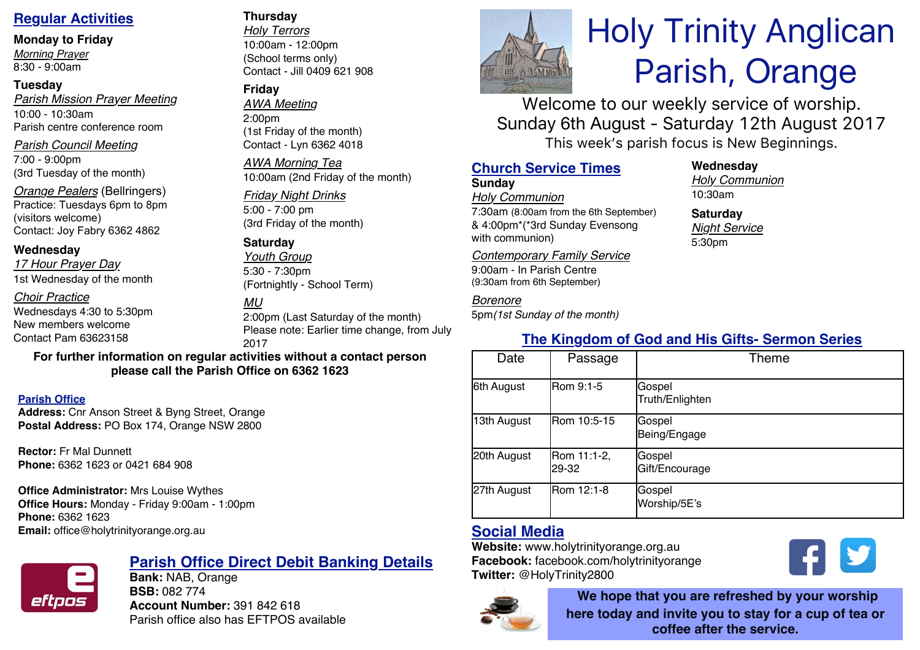# **Regular Activities**

#### **Monday to Friday**

*Morning Prayer* 8:30 - 9:00am

## **Tuesday**

*Parish Mission Prayer Meeting* 10:00 - 10:30am Parish centre conference room

### *Parish Council Meeting*

7:00 - 9:00pm (3rd Tuesday of the month)

*Orange Pealers* (Bellringers) Practice: Tuesdays 6pm to 8pm (visitors welcome) Contact: Joy Fabry 6362 4862

## **Wednesday**

*17 Hour Prayer Day* 1st Wednesday of the month

## *Choir Practice*

Wednesdays 4:30 to 5:30pm New members welcome Contact Pam 63623158

## **Thursday**

*Holy Terrors* 10:00am - 12:00pm (School terms only) Contact - Jill 0409 621 908

## **Friday**

*AWA Meeting* 2:00pm (1st Friday of the month) Contact - Lyn 6362 4018

*AWA Morning Tea* 10:00am (2nd Friday of the month)

# *Friday Night Drinks*

5:00 - 7:00 pm (3rd Friday of the month)

## **Saturday**

*Youth Group* 5:30 - 7:30pm (Fortnightly - School Term)

## *MU*

2:00pm (Last Saturday of the month) Please note: Earlier time change, from July 2017

#### **For further information on regular activities without a contact person please call the Parish Office on 6362 1623**

### **Parish Office**

**Address:** Cnr Anson Street & Byng Street, Orange **Postal Address:** PO Box 174, Orange NSW 2800

**Rector:** Fr Mal Dunnett **Phone:** 6362 1623 or 0421 684 908

**Office Administrator:** Mrs Louise Wythes **Office Hours:** Monday - Friday 9:00am - 1:00pm **Phone:** 6362 1623 **Email:** office@holytrinityorange.org.au



# **Parish Office Direct Debit Banking Details**

**Bank:** NAB, Orange **BSB:** 082 774 **Account Number:** 391 842 618 Parish office also has EFTPOS available



# Holy Trinity Anglican Parish, Orange

Welcome to our weekly service of worship. Sunday 6th August - Saturday 12th August 2017 This week's parish focus is New Beginnings.

## **Church Service Times**

## **Sunday**

*Holy Communion* 7:30am (8:00am from the 6th September) & 4:00pm\*(\*3rd Sunday Evensong with communion)

*Contemporary Family Service* 9:00am - In Parish Centre (9:30am from 6th September)

## *Borenore*

5pm*(1st Sunday of the month)*

## **Wednesday**

*Holy Communion* 10:30am

**Saturday** *Night Service* 5:30pm

# **The Kingdom of God and His Gifts- Sermon Series**

| Date        | Passage              | Theme                     |
|-------------|----------------------|---------------------------|
| 6th August  | Rom 9:1-5            | Gospel<br>Truth/Enlighten |
| 13th August | Rom 10:5-15          | Gospel<br>Being/Engage    |
| 20th August | Rom 11:1-2,<br>29-32 | Gospel<br>Gift/Encourage  |
| 27th August | Rom 12:1-8           | Gospel<br>Worship/5E's    |

# **Social Media**

**Website:** www.holytrinityorange.org.au **Facebook:** facebook.com/holytrinityorange **Twitter:** @HolyTrinity2800



**We hope that you are refreshed by your worship here today and invite you to stay for a cup of tea or coffee after the service.**